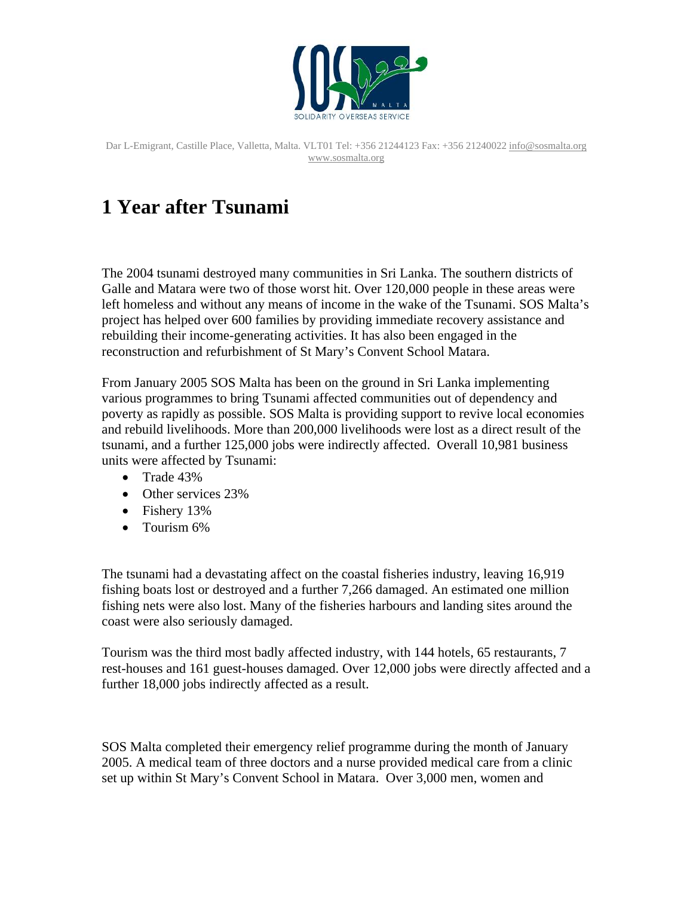

# **1 Year after Tsunami**

The 2004 tsunami destroyed many communities in Sri Lanka. The southern districts of Galle and Matara were two of those worst hit. Over 120,000 people in these areas were left homeless and without any means of income in the wake of the Tsunami. SOS Malta's project has helped over 600 families by providing immediate recovery assistance and rebuilding their income-generating activities. It has also been engaged in the reconstruction and refurbishment of St Mary's Convent School Matara.

From January 2005 SOS Malta has been on the ground in Sri Lanka implementing various programmes to bring Tsunami affected communities out of dependency and poverty as rapidly as possible. SOS Malta is providing support to revive local economies and rebuild livelihoods. More than 200,000 livelihoods were lost as a direct result of the tsunami, and a further 125,000 jobs were indirectly affected. Overall 10,981 business units were affected by Tsunami:

- Trade 43%
- Other services 23%
- Fishery 13%
- Tourism 6%

The tsunami had a devastating affect on the coastal fisheries industry, leaving 16,919 fishing boats lost or destroyed and a further 7,266 damaged. An estimated one million fishing nets were also lost. Many of the fisheries harbours and landing sites around the coast were also seriously damaged.

Tourism was the third most badly affected industry, with 144 hotels, 65 restaurants, 7 rest-houses and 161 guest-houses damaged. Over 12,000 jobs were directly affected and a further 18,000 jobs indirectly affected as a result.

SOS Malta completed their emergency relief programme during the month of January 2005. A medical team of three doctors and a nurse provided medical care from a clinic set up within St Mary's Convent School in Matara. Over 3,000 men, women and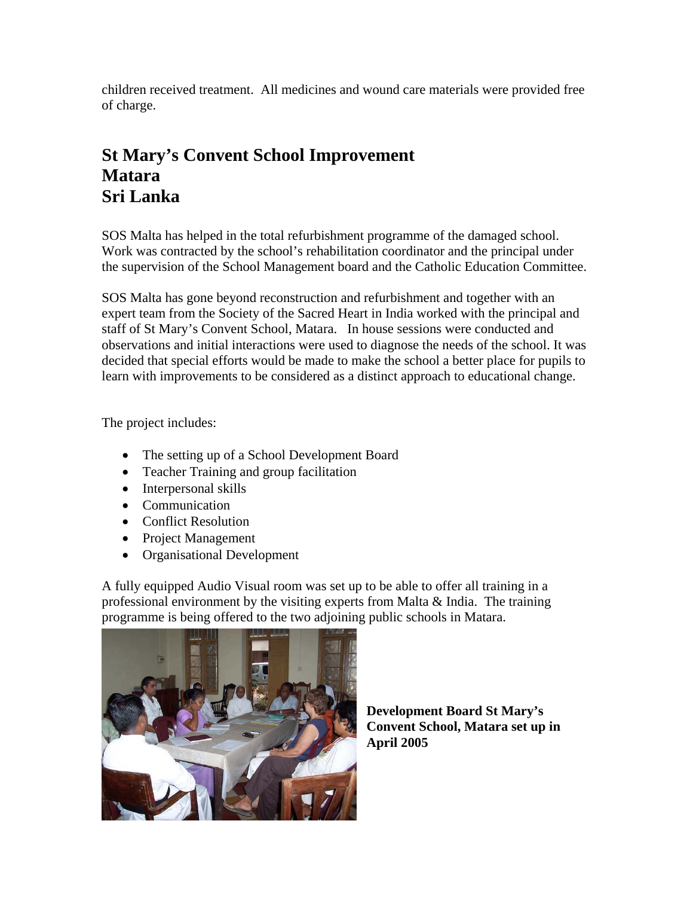children received treatment. All medicines and wound care materials were provided free of charge.

### **St Mary's Convent School Improvement Matara Sri Lanka**

SOS Malta has helped in the total refurbishment programme of the damaged school. Work was contracted by the school's rehabilitation coordinator and the principal under the supervision of the School Management board and the Catholic Education Committee.

SOS Malta has gone beyond reconstruction and refurbishment and together with an expert team from the Society of the Sacred Heart in India worked with the principal and staff of St Mary's Convent School, Matara. In house sessions were conducted and observations and initial interactions were used to diagnose the needs of the school. It was decided that special efforts would be made to make the school a better place for pupils to learn with improvements to be considered as a distinct approach to educational change.

The project includes:

- The setting up of a School Development Board
- Teacher Training and group facilitation
- Interpersonal skills
- Communication
- Conflict Resolution
- Project Management
- Organisational Development

A fully equipped Audio Visual room was set up to be able to offer all training in a professional environment by the visiting experts from Malta & India. The training programme is being offered to the two adjoining public schools in Matara.



**Development Board St Mary's Convent School, Matara set up in April 2005**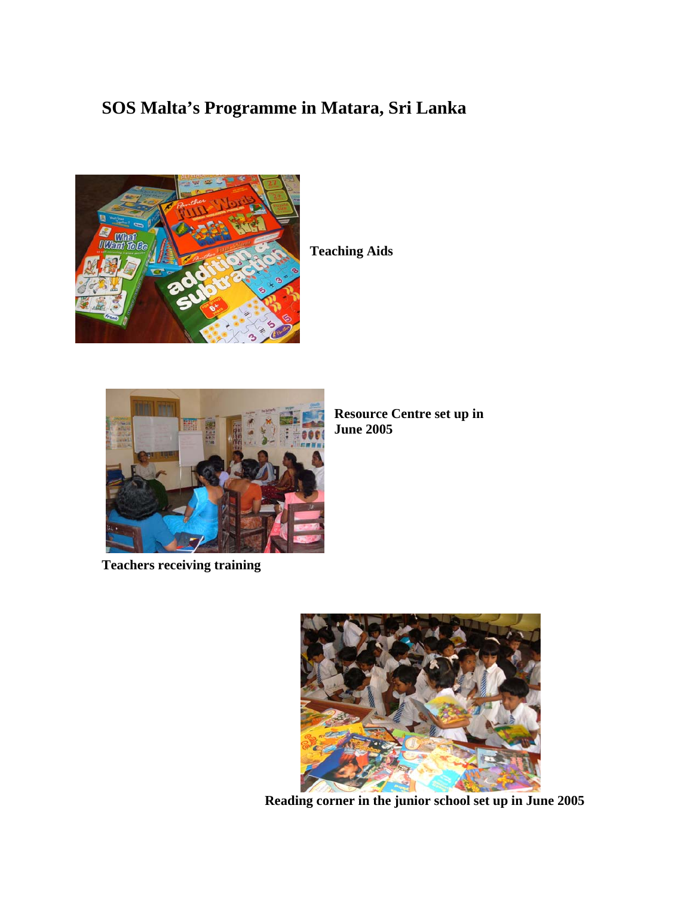## **SOS Malta's Programme in Matara, Sri Lanka**



**Teaching Aids**



**Resource Centre set up in June 2005** 

**Teachers receiving training** 



 **Reading corner in the junior school set up in June 2005**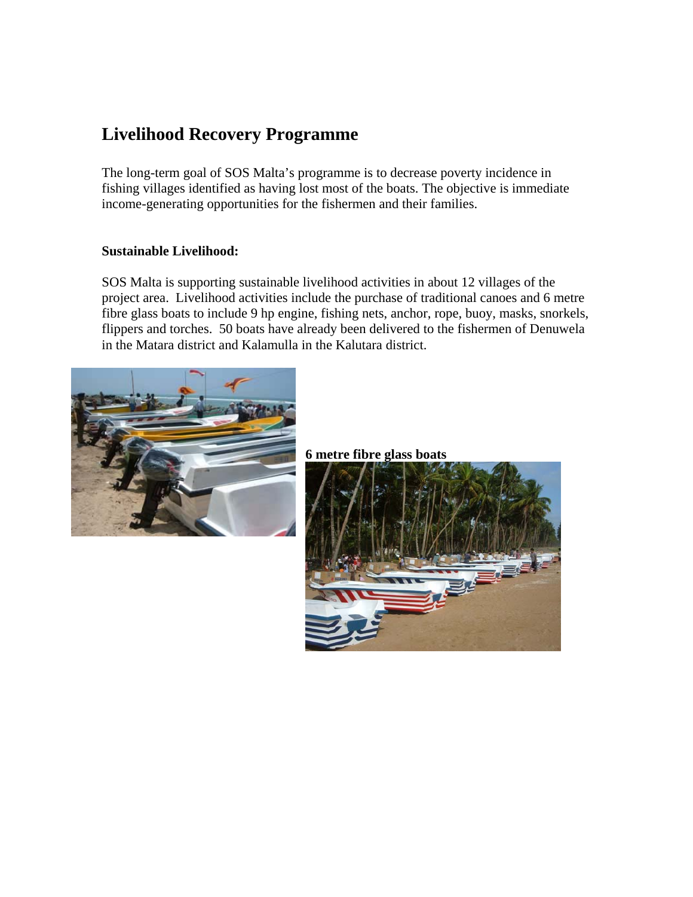### **Livelihood Recovery Programme**

The long-term goal of SOS Malta's programme is to decrease poverty incidence in fishing villages identified as having lost most of the boats. The objective is immediate income-generating opportunities for the fishermen and their families.

#### **Sustainable Livelihood:**

SOS Malta is supporting sustainable livelihood activities in about 12 villages of the project area. Livelihood activities include the purchase of traditional canoes and 6 metre fibre glass boats to include 9 hp engine, fishing nets, anchor, rope, buoy, masks, snorkels, flippers and torches. 50 boats have already been delivered to the fishermen of Denuwela in the Matara district and Kalamulla in the Kalutara district.



**6 metre fibre glass boats** 

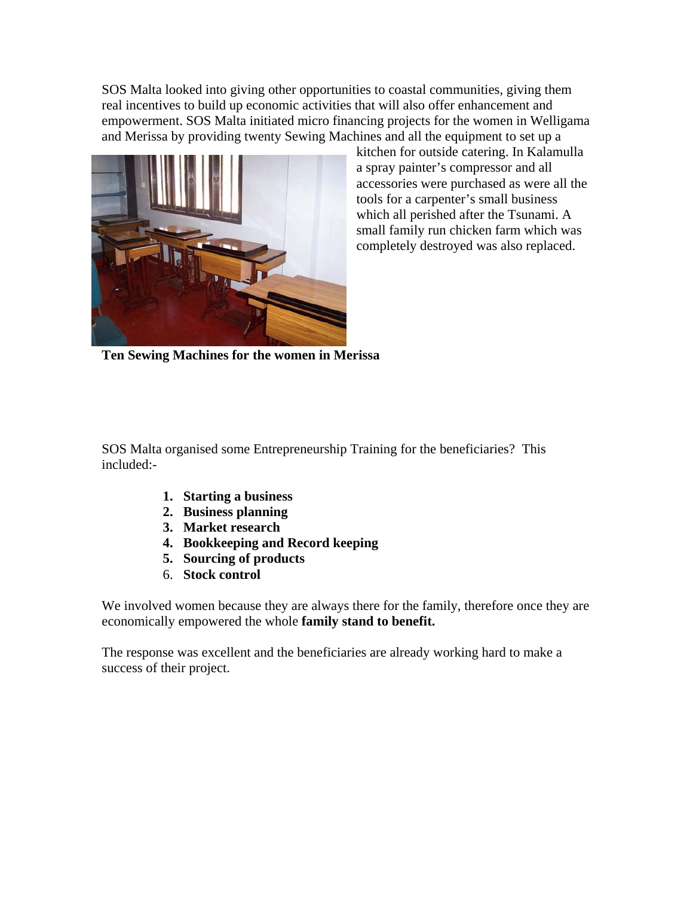SOS Malta looked into giving other opportunities to coastal communities, giving them real incentives to build up economic activities that will also offer enhancement and empowerment. SOS Malta initiated micro financing projects for the women in Welligama and Merissa by providing twenty Sewing Machines and all the equipment to set up a



kitchen for outside catering. In Kalamulla a spray painter's compressor and all accessories were purchased as were all the tools for a carpenter's small business which all perished after the Tsunami. A small family run chicken farm which was completely destroyed was also replaced.

**Ten Sewing Machines for the women in Merissa** 

SOS Malta organised some Entrepreneurship Training for the beneficiaries? This included:-

- **1. Starting a business**
- **2. Business planning**
- **3. Market research**
- **4. Bookkeeping and Record keeping**
- **5. Sourcing of products**
- 6. **Stock control**

We involved women because they are always there for the family, therefore once they are economically empowered the whole **family stand to benefit.** 

The response was excellent and the beneficiaries are already working hard to make a success of their project.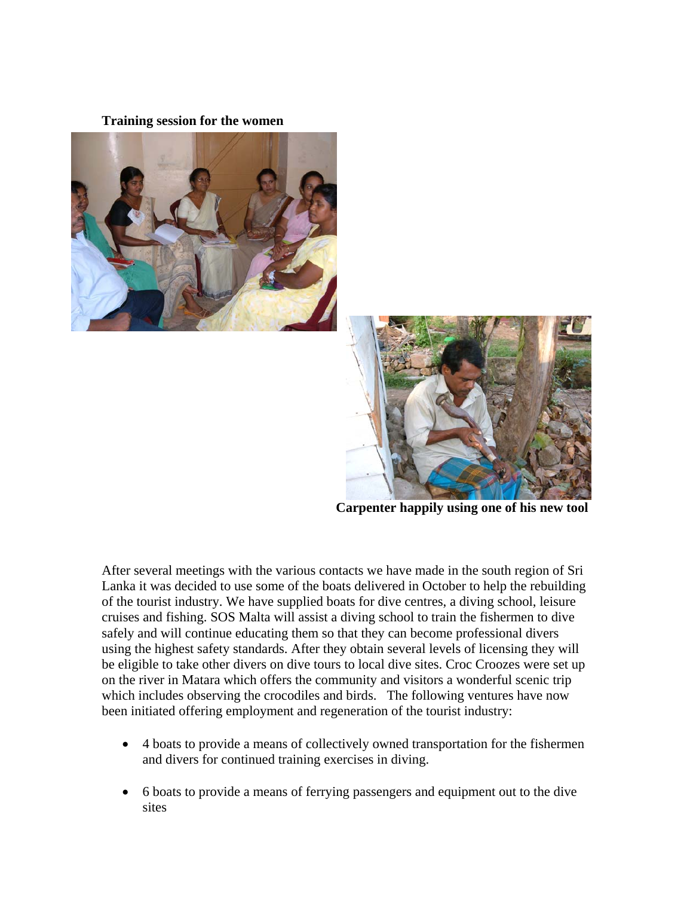#### **Training session for the women**





 **Carpenter happily using one of his new tool** 

After several meetings with the various contacts we have made in the south region of Sri Lanka it was decided to use some of the boats delivered in October to help the rebuilding of the tourist industry. We have supplied boats for dive centres, a diving school, leisure cruises and fishing. SOS Malta will assist a diving school to train the fishermen to dive safely and will continue educating them so that they can become professional divers using the highest safety standards. After they obtain several levels of licensing they will be eligible to take other divers on dive tours to local dive sites. Croc Croozes were set up on the river in Matara which offers the community and visitors a wonderful scenic trip which includes observing the crocodiles and birds. The following ventures have now been initiated offering employment and regeneration of the tourist industry:

- 4 boats to provide a means of collectively owned transportation for the fishermen and divers for continued training exercises in diving.
- 6 boats to provide a means of ferrying passengers and equipment out to the dive sites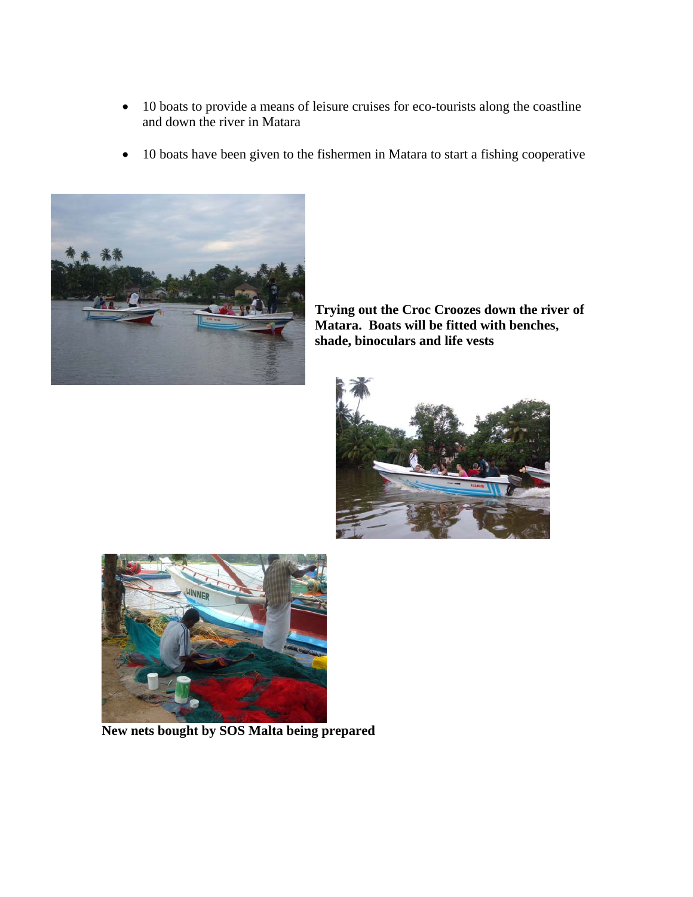- 10 boats to provide a means of leisure cruises for eco-tourists along the coastline and down the river in Matara
- 10 boats have been given to the fishermen in Matara to start a fishing cooperative



**Trying out the Croc Croozes down the river of Matara. Boats will be fitted with benches, shade, binoculars and life vests** 





 **New nets bought by SOS Malta being prepared**